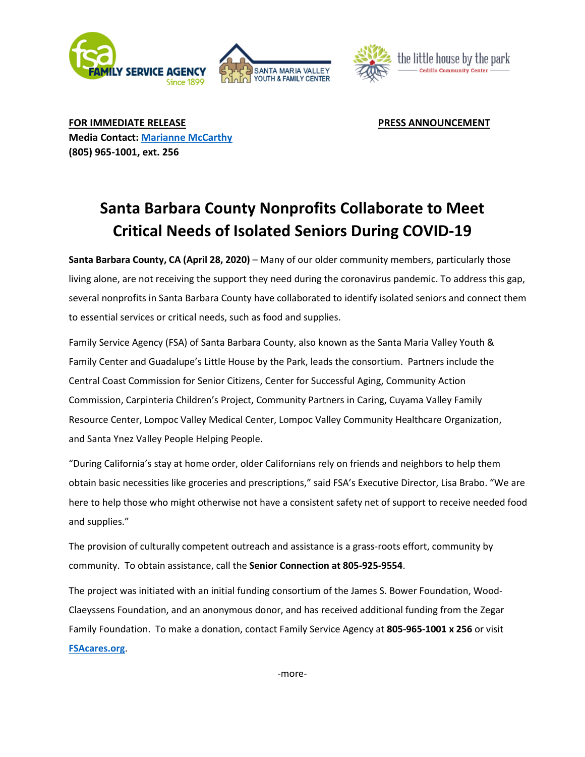



**FOR IMMEDIATE RELEASE PRESS ANNOUNCEMENT Media Contact: [Marianne McCarthy](mailto:mmccarthy@fsacares.org) (805) 965-1001, ext. 256**

## **Santa Barbara County Nonprofits Collaborate to Meet Critical Needs of Isolated Seniors During COVID-19**

**Santa Barbara County, CA (April 28, 2020)** – Many of our older community members, particularly those living alone, are not receiving the support they need during the coronavirus pandemic. To address this gap, several nonprofits in Santa Barbara County have collaborated to identify isolated seniors and connect them to essential services or critical needs, such as food and supplies.

Family Service Agency (FSA) of Santa Barbara County, also known as the Santa Maria Valley Youth & Family Center and Guadalupe's Little House by the Park, leads the consortium. Partners include the Central Coast Commission for Senior Citizens, Center for Successful Aging, Community Action Commission, Carpinteria Children's Project, Community Partners in Caring, Cuyama Valley Family Resource Center, Lompoc Valley Medical Center, Lompoc Valley Community Healthcare Organization, and Santa Ynez Valley People Helping People.

"During California's stay at home order, older Californians rely on friends and neighbors to help them obtain basic necessities like groceries and prescriptions," said FSA's Executive Director, Lisa Brabo. "We are here to help those who might otherwise not have a consistent safety net of support to receive needed food and supplies."

The provision of culturally competent outreach and assistance is a grass-roots effort, community by community. To obtain assistance, call the **Senior Connection at 805-925-9554**.

The project was initiated with an initial funding consortium of the James S. Bower Foundation, Wood-Claeyssens Foundation, and an anonymous donor, and has received additional funding from the Zegar Family Foundation. To make a donation, contact Family Service Agency at **805-965-1001 x 256** or visit **[FSAcares.org](https://fsacares.org/)**.

-more-